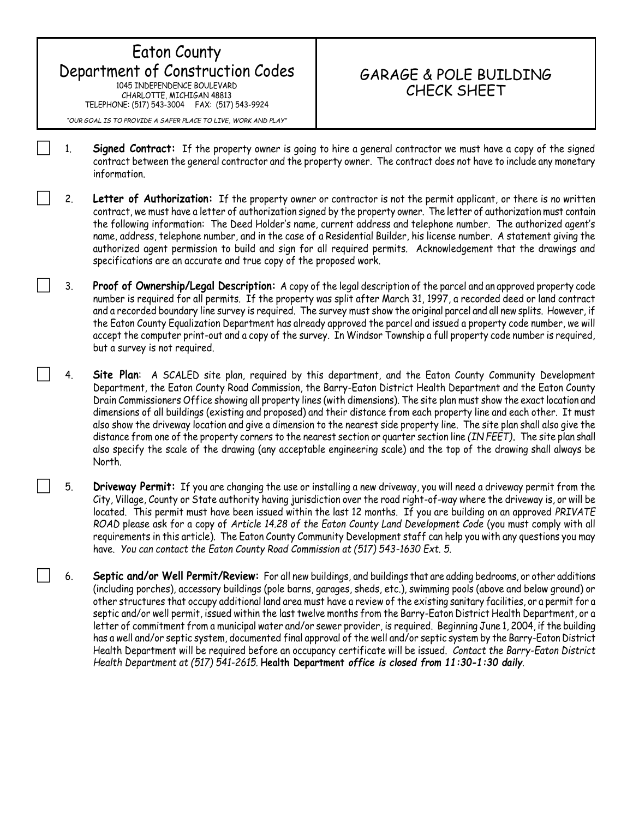## Eaton County Department of Construction Codes 1045 INDEPENDENCE BOULEVARD CHARLOTTE, MICHIGAN 48813 TELEPHONE: (517) 543-3004 FAX: (517) 543-9924

## GARAGE & POLE BUILDING CHECK SHEET

*"OUR GOAL IS TO PROVIDE A SAFER PLACE TO LIVE, WORK AND PLAY"*

- 1. **Signed Contract:** If the property owner is going to hire a general contractor we must have a copy of the signed contract between the general contractor and the property owner. The contract does not have to include any monetary information.
- 2. **Letter of Authorization:** If the property owner or contractor is not the permit applicant, or there is no written contract, we must have a letter of authorization signed by the property owner. The letter of authorization must contain the following information: The Deed Holder's name, current address and telephone number. The authorized agent's name, address, telephone number, and in the case of a Residential Builder, his license number. A statement giving the authorized agent permission to build and sign for all required permits. Acknowledgement that the drawings and specifications are an accurate and true copy of the proposed work.
- 3. **Proof of Ownership/Legal Description:** A copy of the legal description of the parcel and an approved property code number is required for all permits. If the property was split after March 31, 1997, a recorded deed or land contract and a recorded boundary line survey is required. The survey must show the original parcel and all new splits. However, if the Eaton County Equalization Department has already approved the parcel and issued a property code number, we will accept the computer print-out and a copy of the survey. In Windsor Township a full property code number is required, but a survey is not required.
- 4. **Site Plan**: A SCALED site plan, required by this department, and the Eaton County Community Development Department, the Eaton County Road Commission, the Barry-Eaton District Health Department and the Eaton County Drain Commissioners Office showing all property lines (with dimensions). The site plan must show the exact location and dimensions of all buildings (existing and proposed) and their distance from each property line and each other. It must also show the driveway location and give a dimension to the nearest side property line. The site plan shall also give the distance from one of the property corners to the nearest section or quarter section line *(IN FEET)***.** The site plan shall also specify the scale of the drawing (any acceptable engineering scale) and the top of the drawing shall always be North.
- 5. **Driveway Permit:** If you are changing the use or installing a new driveway, you will need a driveway permit from the City, Village, County or State authority having jurisdiction over the road right-of-way where the driveway is, or will be located. This permit must have been issued within the last 12 months. If you are building on an approved *PRIVATE ROAD* please ask for a copy of *Article 14.28 of the Eaton County Land Development Code* (you must comply with all requirements in this article). The Eaton County Community Development staff can help you with any questions you may have. *You can contact the Eaton County Road Commission at (517) 543-1630 Ext. 5.*
- 6. **Septic and/or Well Permit/Review:** For all new buildings, and buildings that are adding bedrooms, or other additions (including porches), accessory buildings (pole barns, garages, sheds, etc.), swimming pools (above and below ground) or other structures that occupy additional land area must have a review of the existing sanitary facilities, or a permit for a septic and/or well permit, issued within the last twelve months from the Barry-Eaton District Health Department, or a letter of commitment from a municipal water and/or sewer provider, is required. Beginning June 1, 2004, if the building has a well and/or septic system, documented final approval of the well and/or septic system by the Barry-Eaton District Health Department will be required before an occupancy certificate will be issued. *Contact the Barry-Eaton District Health Department at (517) 541-2615.* **Health Department** *office is closed from 11:30-1:30 daily.*